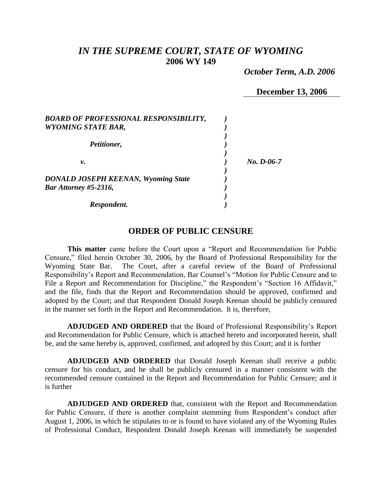# *IN THE SUPREME COURT, STATE OF WYOMING* **2006 WY 149**

 *October Term, A.D. 2006*

**December 13, 2006**

| <b>BOARD OF PROFESSIONAL RESPONSIBILITY,</b><br><b>WYOMING STATE BAR,</b> |            |
|---------------------------------------------------------------------------|------------|
| Petitioner,                                                               |            |
| ν.                                                                        | No. D-06-7 |
| <b>DONALD JOSEPH KEENAN, Wyoming State</b><br>Bar Attorney #5-2316,       |            |
| Respondent.                                                               |            |

# **ORDER OF PUBLIC CENSURE**

**This matter** came before the Court upon a "Report and Recommendation for Public Censure," filed herein October 30, 2006, by the Board of Professional Responsibility for the Wyoming State Bar. The Court, after a careful review of the Board of Professional Responsibility's Report and Recommendation, Bar Counsel's "Motion for Public Censure and to File a Report and Recommendation for Discipline," the Respondent's "Section 16 Affidavit," and the file, finds that the Report and Recommendation should be approved, confirmed and adopted by the Court; and that Respondent Donald Joseph Keenan should be publicly censured in the manner set forth in the Report and Recommendation. It is, therefore,

**ADJUDGED AND ORDERED** that the Board of Professional Responsibility's Report and Recommendation for Public Censure, which is attached hereto and incorporated herein, shall be, and the same hereby is, approved, confirmed, and adopted by this Court; and it is further

**ADJUDGED AND ORDERED** that Donald Joseph Keenan shall receive a public censure for his conduct, and he shall be publicly censured in a manner consistent with the recommended censure contained in the Report and Recommendation for Public Censure; and it is further

**ADJUDGED AND ORDERED** that, consistent with the Report and Recommendation for Public Censure, if there is another complaint stemming from Respondent's conduct after August 1, 2006, in which he stipulates to or is found to have violated any of the Wyoming Rules of Professional Conduct, Respondent Donald Joseph Keenan will immediately be suspended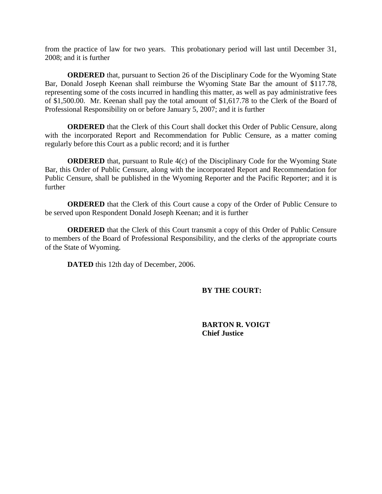from the practice of law for two years. This probationary period will last until December 31, 2008; and it is further

**ORDERED** that, pursuant to Section 26 of the Disciplinary Code for the Wyoming State Bar, Donald Joseph Keenan shall reimburse the Wyoming State Bar the amount of \$117.78, representing some of the costs incurred in handling this matter, as well as pay administrative fees of \$1,500.00. Mr. Keenan shall pay the total amount of \$1,617.78 to the Clerk of the Board of Professional Responsibility on or before January 5, 2007; and it is further

**ORDERED** that the Clerk of this Court shall docket this Order of Public Censure, along with the incorporated Report and Recommendation for Public Censure, as a matter coming regularly before this Court as a public record; and it is further

**ORDERED** that, pursuant to Rule 4(c) of the Disciplinary Code for the Wyoming State Bar, this Order of Public Censure, along with the incorporated Report and Recommendation for Public Censure, shall be published in the Wyoming Reporter and the Pacific Reporter; and it is further

**ORDERED** that the Clerk of this Court cause a copy of the Order of Public Censure to be served upon Respondent Donald Joseph Keenan; and it is further

**ORDERED** that the Clerk of this Court transmit a copy of this Order of Public Censure to members of the Board of Professional Responsibility, and the clerks of the appropriate courts of the State of Wyoming.

**DATED** this 12th day of December, 2006.

**BY THE COURT:**

**BARTON R. VOIGT Chief Justice**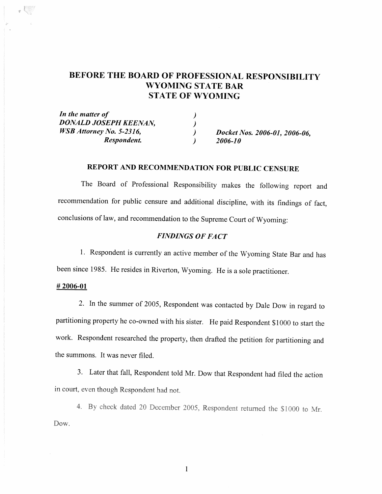# BEFORE THE BOARD OF PROFESSIONAL RESPONSIBILITY **WYOMING STATE BAR STATE OF WYOMING**

| In the matter of                |                               |
|---------------------------------|-------------------------------|
| DONALD JOSEPH KEENAN,           |                               |
| <b>WSB</b> Attorney No. 5-2316, | Docket Nos. 2006-01, 2006-06, |
| Respondent.                     | 2006-10                       |

## REPORT AND RECOMMENDATION FOR PUBLIC CENSURE

The Board of Professional Responsibility makes the following report and recommendation for public censure and additional discipline, with its findings of fact, conclusions of law, and recommendation to the Supreme Court of Wyoming:

### **FINDINGS OF FACT**

1. Respondent is currently an active member of the Wyoming State Bar and has been since 1985. He resides in Riverton, Wyoming. He is a sole practitioner.

#### $#2006-01$

 $\mathcal{L}(\mathbb{R})$ 

2. In the summer of 2005, Respondent was contacted by Dale Dow in regard to partitioning property he co-owned with his sister. He paid Respondent \$1000 to start the work. Respondent researched the property, then drafted the petition for partitioning and the summons. It was never filed.

3. Later that fall, Respondent told Mr. Dow that Respondent had filed the action in court, even though Respondent had not.

4. By check dated 20 December 2005, Respondent returned the \$1000 to Mr. Dow.

 $\mathbf{1}$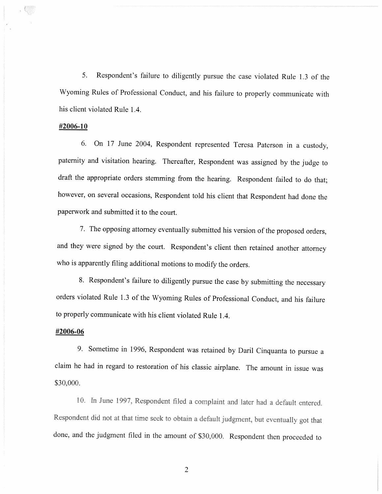5. Respondent's failure to diligently pursue the case violated Rule 1.3 of the Wyoming Rules of Professional Conduct, and his failure to properly communicate with his client violated Rule 1.4.

#### #2006-10

On 17 June 2004, Respondent represented Teresa Paterson in a custody, 6. paternity and visitation hearing. Thereafter, Respondent was assigned by the judge to draft the appropriate orders stemming from the hearing. Respondent failed to do that; however, on several occasions, Respondent told his client that Respondent had done the paperwork and submitted it to the court.

7. The opposing attorney eventually submitted his version of the proposed orders, and they were signed by the court. Respondent's client then retained another attorney who is apparently filing additional motions to modify the orders.

8. Respondent's failure to diligently pursue the case by submitting the necessary orders violated Rule 1.3 of the Wyoming Rules of Professional Conduct, and his failure to properly communicate with his client violated Rule 1.4.

#### #2006-06

9. Sometime in 1996, Respondent was retained by Daril Cinquanta to pursue a claim he had in regard to restoration of his classic airplane. The amount in issue was \$30,000.

10. In June 1997, Respondent filed a complaint and later had a default entered. Respondent did not at that time seek to obtain a default judgment, but eventually got that done, and the judgment filed in the amount of \$30,000. Respondent then proceeded to

 $\overline{2}$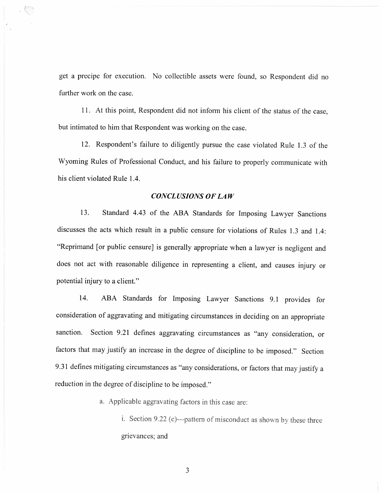get a precipe for execution. No collectible assets were found, so Respondent did no further work on the case.

11. At this point, Respondent did not inform his client of the status of the case, but intimated to him that Respondent was working on the case.

12. Respondent's failure to diligently pursue the case violated Rule 1.3 of the Wyoming Rules of Professional Conduct, and his failure to properly communicate with his client violated Rule 1.4.

## **CONCLUSIONS OF LAW**

13. Standard 4.43 of the ABA Standards for Imposing Lawyer Sanctions discusses the acts which result in a public censure for violations of Rules 1.3 and 1.4: "Reprimand [or public censure] is generally appropriate when a lawyer is negligent and does not act with reasonable diligence in representing a client, and causes injury or potential injury to a client."

ABA Standards for Imposing Lawyer Sanctions 9.1 provides for 14. consideration of aggravating and mitigating circumstances in deciding on an appropriate sanction. Section 9.21 defines aggravating circumstances as "any consideration, or factors that may justify an increase in the degree of discipline to be imposed." Section 9.31 defines mitigating circumstances as "any considerations, or factors that may justify a reduction in the degree of discipline to be imposed."

a. Applicable aggravating factors in this case are:

i. Section 9.22 (c)---pattern of misconduct as shown by these three grievances; and

3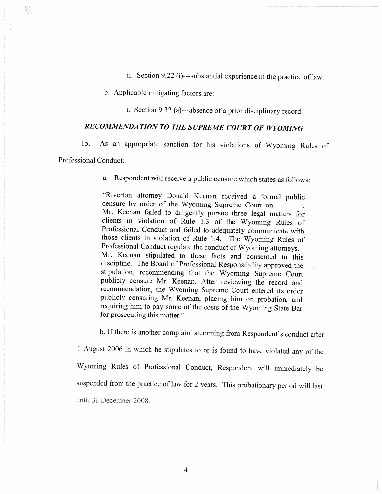ii. Section 9.22 (i)---substantial experience in the practice of law.

b. Applicable mitigating factors are:

i. Section 9.32 (a)---absence of a prior disciplinary record.

# RECOMMENDATION TO THE SUPREME COURT OF WYOMING

As an appropriate sanction for his violations of Wyoming Rules of 15.

Professional Conduct:

a. Respondent will receive a public censure which states as follows:

"Riverton attorney Donald Keenan received a formal public censure by order of the Wyoming Supreme Court on Mr. Keenan failed to diligently pursue three legal matters for clients in violation of Rule 1.3 of the Wyoming Rules of Professional Conduct and failed to adequately communicate with those clients in violation of Rule 1.4. The Wyoming Rules of Professional Conduct regulate the conduct of Wyoming attorneys. Mr. Keenan stipulated to these facts and consented to this discipline. The Board of Professional Responsibility approved the stipulation, recommending that the Wyoming Supreme Court publicly censure Mr. Keenan. After reviewing the record and recommendation, the Wyoming Supreme Court entered its order publicly censuring Mr. Keenan, placing him on probation, and requiring him to pay some of the costs of the Wyoming State Bar for prosecuting this matter."

b. If there is another complaint stemming from Respondent's conduct after 1 August 2006 in which he stipulates to or is found to have violated any of the Wyoming Rules of Professional Conduct, Respondent will immediately be suspended from the practice of law for 2 years. This probationary period will last until 31 December 2008.